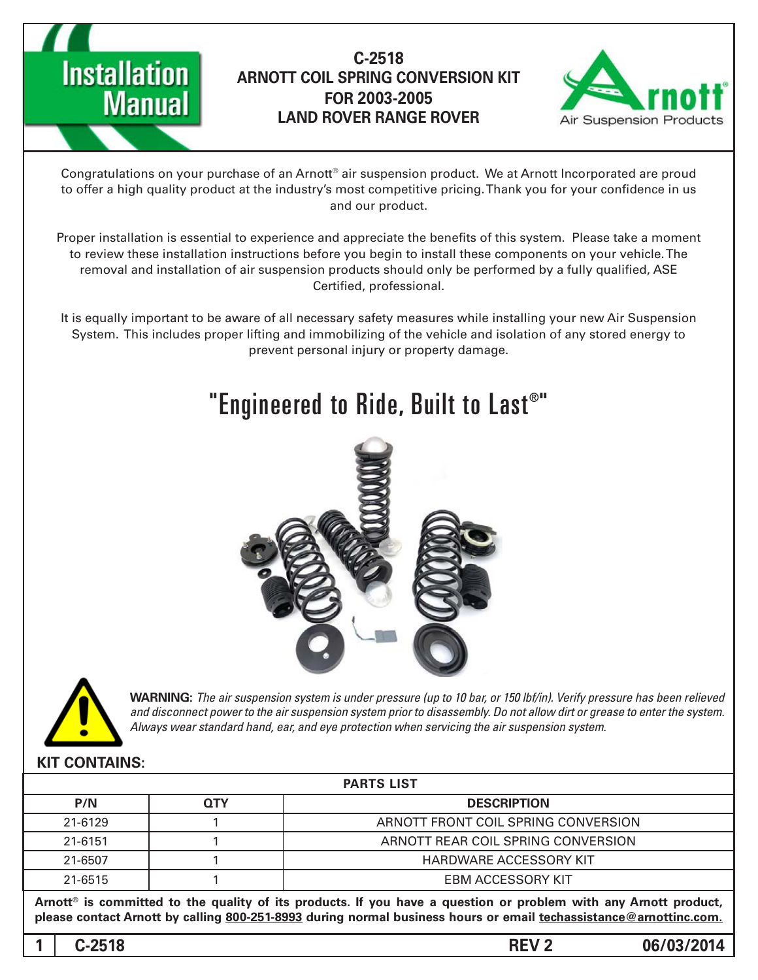



Congratulations on your purchase of an Arnott® air suspension product. We at Arnott Incorporated are proud to offer a high quality product at the industry's most competitive pricing. Thank you for your confidence in us and our product.

Proper installation is essential to experience and appreciate the benefits of this system. Please take a moment to review these installation instructions before you begin to install these components on your vehicle. The removal and installation of air suspension products should only be performed by a fully qualified, ASE Certified, professional.

It is equally important to be aware of all necessary safety measures while installing your new Air Suspension System. This includes proper lifting and immobilizing of the vehicle and isolation of any stored energy to prevent personal injury or property damage.

# "Engineered to Ride, Built to Last $^{\circ}$ "





*WARNING: The air suspension system is under pressure (up to 10 bar, or 150 lbf/in). Verify pressure has been relieved* and disconnect power to the air suspension system prior to disassembly. Do not allow dirt or grease to enter the system. Always wear standard hand, ear, and eye protection when servicing the air suspension system.

#### **KIT CONTAINS:**

| <b>PARTS LIST</b>                                                                                               |            |                                     |
|-----------------------------------------------------------------------------------------------------------------|------------|-------------------------------------|
| P/N                                                                                                             | <b>QTY</b> | <b>DESCRIPTION</b>                  |
| 21-6129                                                                                                         |            | ARNOTT FRONT COIL SPRING CONVERSION |
| 21-6151                                                                                                         |            | ARNOTT REAR COIL SPRING CONVERSION  |
| 21-6507                                                                                                         |            | HARDWARE ACCESSORY KIT              |
| 21-6515                                                                                                         |            | EBM ACCESSORY KIT                   |
| Arnott® is committed to the quality of its products. If you have a question or problem with any Arnott product, |            |                                     |

please contact Arnott by calling 800-251-8993 during normal business hours or email techassistance@arnottinc.com.

**06/03/2014 2 REV -2518C 1**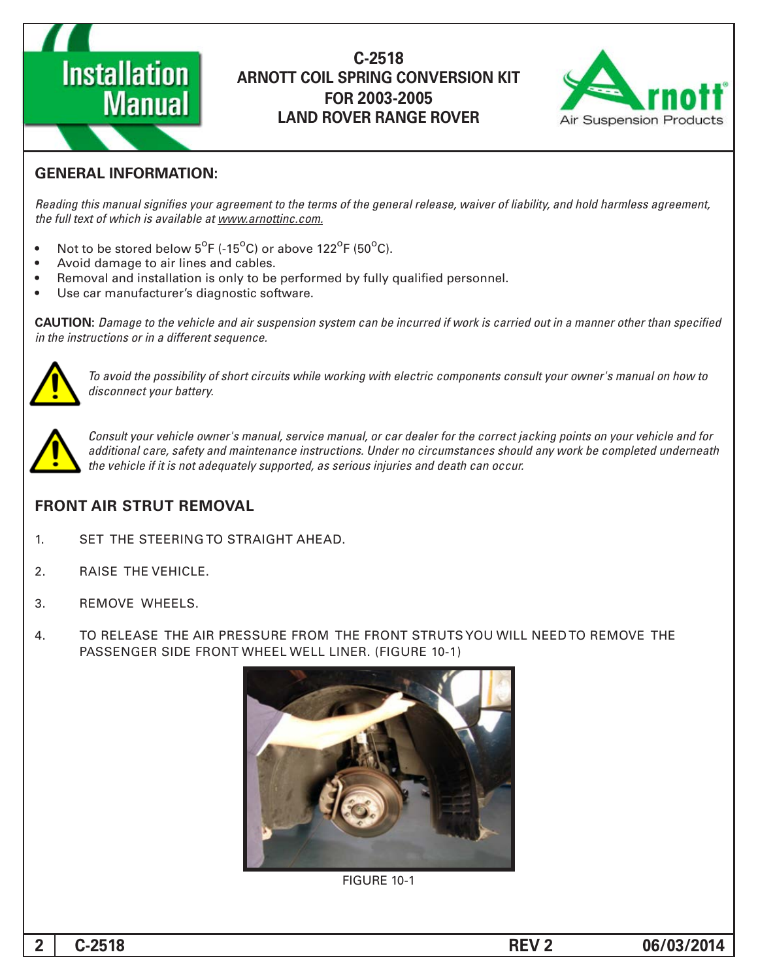



## **GENERAL INFORMATION:**

Reading this manual signifies your agreement to the terms of the general release, waiver of liability, and hold harmless agreement, the full text of which is available at www.arnottinc.com.

- Not to be stored below  $5^{\circ}$ F (-15 $^{\circ}$ C) or above 122 $^{\circ}$ F (50 $^{\circ}$ C).
- Avoid damage to air lines and cables.
- Removal and installation is only to be performed by fully qualified personnel.
- Use car manufacturer's diagnostic software.

**CAUTION:** Damage to the vehicle and air suspension system can be incurred if work is carried out in a manner other than specified *in the instructions or in a different sequence.* 



 *to how on manual s'owner your consult components electric with working while circuits short of possibility the avoid To* disconnect your battery.



*Consult your vehicle owner's manual, service manual, or car dealer for the correct jacking points on your vehicle and for* additional care, safety and maintenance instructions. Under no circumstances should any work be completed underneath the vehicle if it is not adequately supported, as serious injuries and death can occur.

#### **FRONT AIR STRUT REMOVAL**

- 1. SET THE STEERING TO STRAIGHT AHEAD.
- 2. RAISE THE VEHICLE.
- 3. REMOVE WHEELS.
- 4. TO RELEASE THE AIR PRESSURE FROM THE FRONT STRUTS YOU WILL NEED TO REMOVE THE PASSENGER SIDE FRONT WHEEL WELL LINER. (FIGURE 10-1)



**FIGURE 10-1**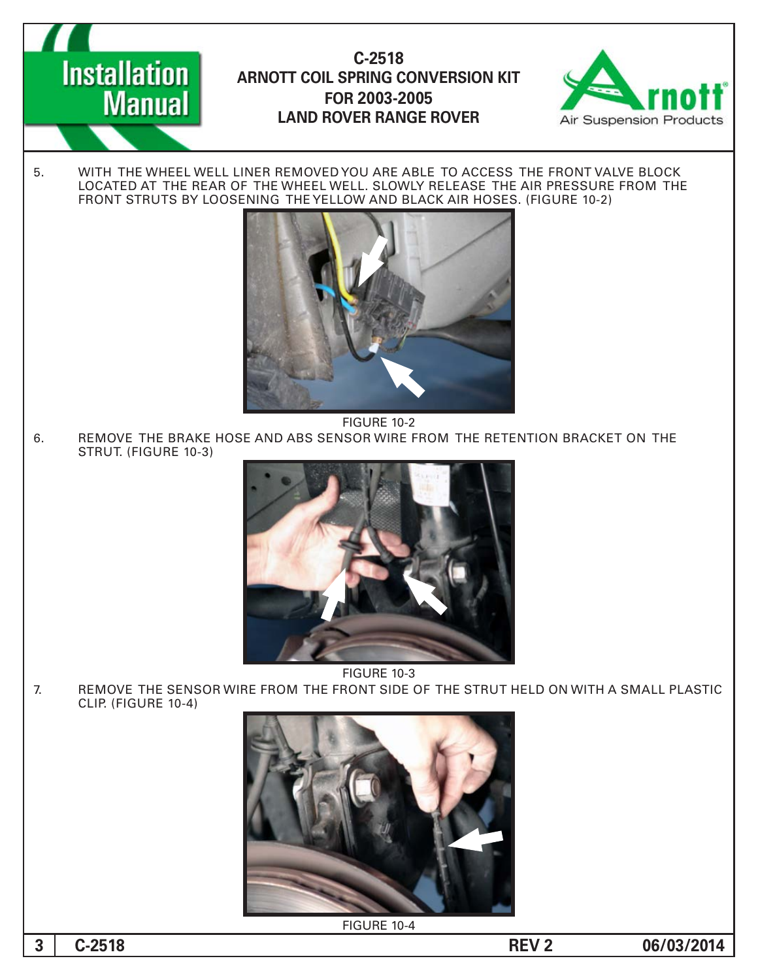

5. WITH THE WHEEL WELL LINER REMOVED YOU ARE ABLE TO ACCESS THE FRONT VALVE BLOCK THE FROM THE FROM PRESSURE AND PRESSURE AND THE CONTROLLER AIR PRESSURE FROM THE FRONT STRUTS BY LOOSENING THE YELLOW AND BLACK AIR HOSES. (FIGURE 10-2)



**FIGURE 10-2** 

6. REMOVE THE BRAKE HOSE AND ABS SENSOR WIRE FROM THE RETENTION BRACKET ON THE STRUT. (FIGURE 10-3)



**FIGURE 10-3** 

7. BEMOVE THE SENSOR WIRE FROM THE FRONT SIDE OF THE STRUT HELD ON WITH A SMALL PLASTIC CLIP. (FIGURE 10-4)



**FIGURE 10-4** 

**1 06/03/2014 -2518** 

**Installation** 

**Manual**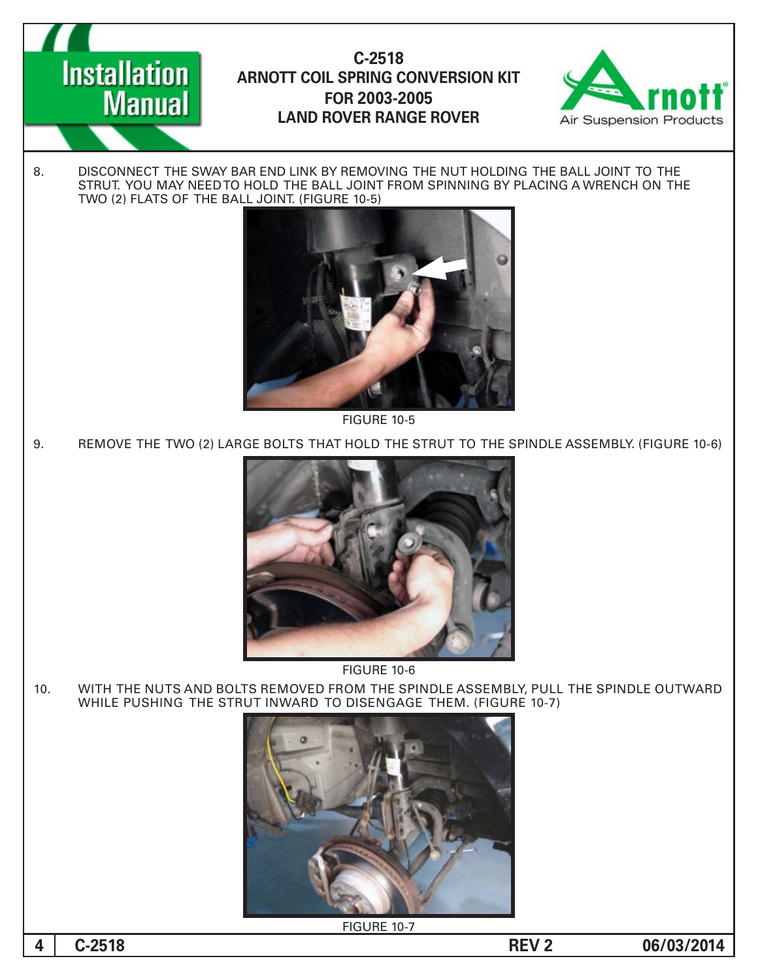



8. DISCONNECT THE SWAY BAR END LINK BY REMOVING THE NUT HOLDING THE BALL JOINT TO THE STRUT. YOU MAY NEED TO HOLD THE BALL JOINT FROM SPINNING BY PLACING A WRENCH ON THE TWO (2) FLATS OF THE BALL JOINT. (FIGURE 10-5)



**FIGURE 10-5** 

9. REMOVE THE TWO (2) LARGE BOLTS THAT HOLD THE STRUT TO THE SPINDLE ASSEMBLY. (FIGURE 10-6)



**FIGURE 10-6** 

10. WITH THE NUTS AND BOLTS REMOVED FROM THE SPINDLE ASSEMBLY, PULL THE SPINDLE OUTWARD WHILE PUSHING THE STRUT INWARD TO DISENGAGE THEM. (FIGURE 10-7)



**FIGURE 10-7** 

**06/03/2014 2 REV -2518C 4**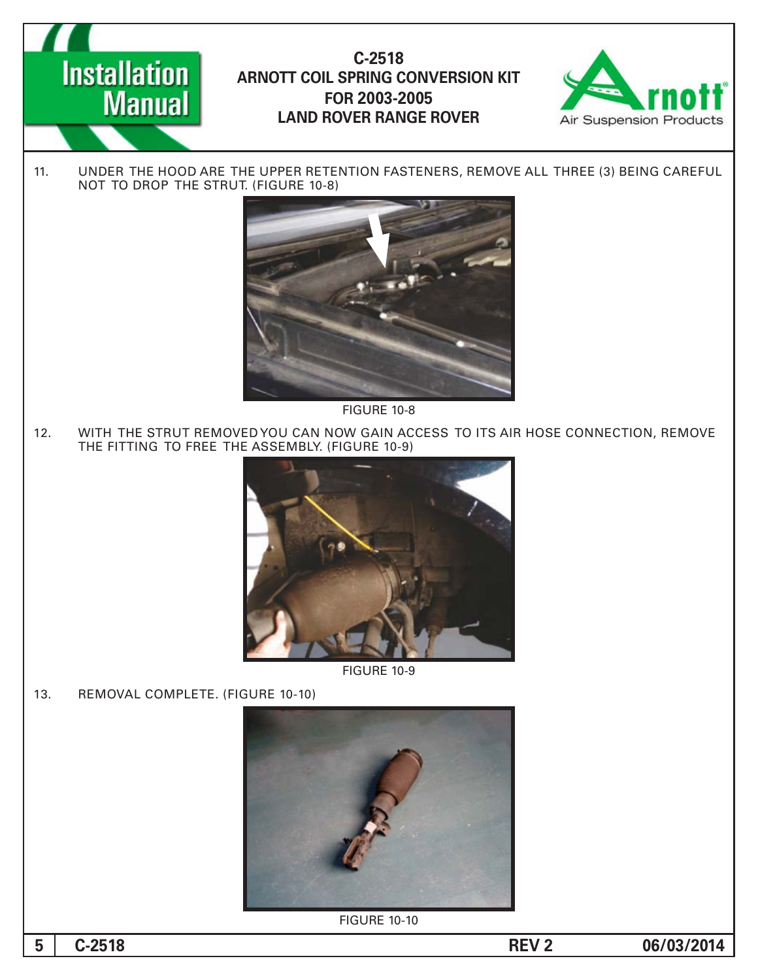



11. UNDER THE HOOD ARE THE UPPER RETENTION FASTENERS, REMOVE ALL THREE (3) BEING CAREFUL NOT TO DROP THE STRUT. (FIGURE 10-8)



FIGURE 10-8

12. WITH THE STRUT REMOVED YOU CAN NOW GAIN ACCESS TO ITS AIR HOSE CONNECTION, REMOVE THE FITTING TO FREE THE ASSEMBLY. (FIGURE 10-9)



**FIGURE 10-9** 

13. REMOVAL COMPLETE. (FIGURE 10-10)



**FIGURE 10-10** 

**06/03/2014 2 REV -2518C 5**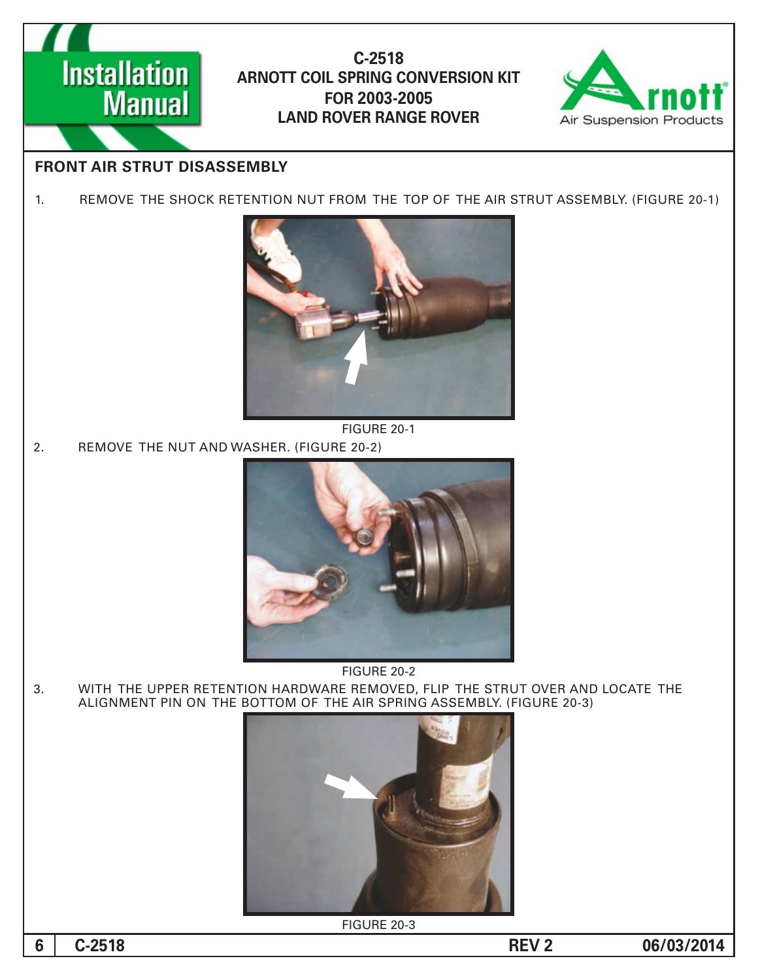



# **FRONT AIR STRUT DISASSEMBLY**

1. REMOVE THE SHOCK RETENTION NUT FROM THE TOP OF THE AIR STRUT ASSEMBLY. (FIGURE 20-1)



**FIGURE 20-1** 

2. REMOVE THE NUT AND WASHER. (FIGURE 20-2)



FIGURE 20-2

3. WITH THE UPPER RETENTION HARDWARE REMOVED, FLIP THE STRUT OVER AND LOCATE THE ALIGNMENT PIN ON THE BOTTOM OF THE AIR SPRING ASSEMBLY. (FIGURE 20-3)



**FIGURE 20-3**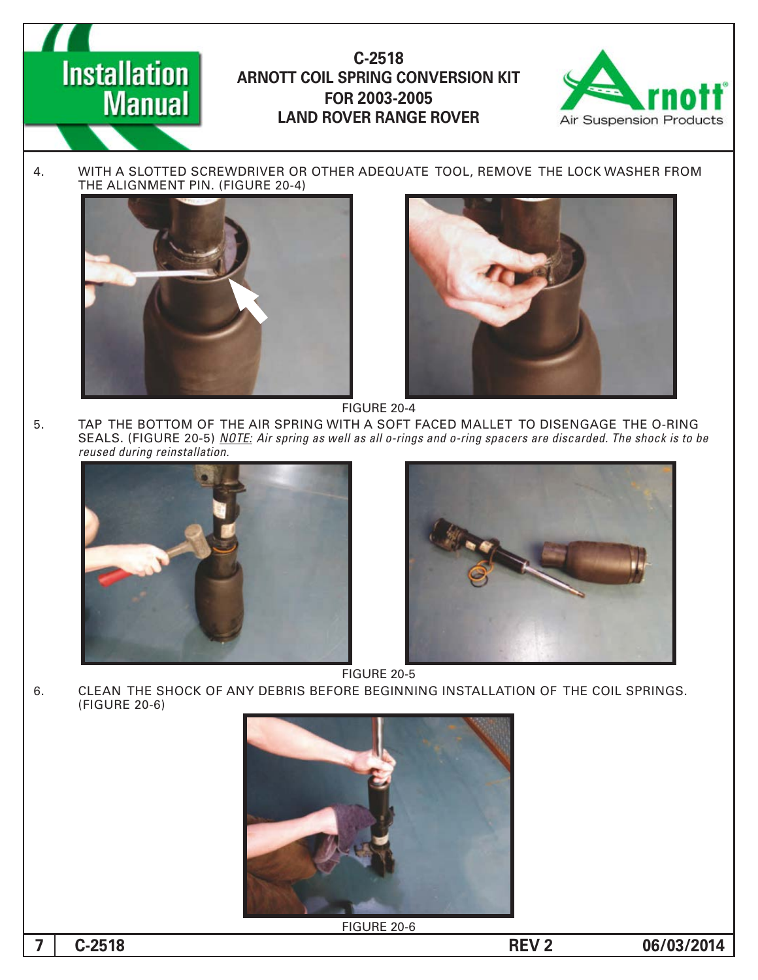



4. WITH A SLOTTED SCREWDRIVER OR OTHER ADEQUATE TOOL, REMOVE THE LOCK WASHER FROM THE ALIGNMENT PIN. (FIGURE 20-4)





FIGURE 20-4

5. TAP THE BOTTOM OF THE AIR SPRING WITH A SOFT FACED MALLET TO DISENGAGE THE O-RING *SEALS. (FIGURE 20-5) NOTE: Air spring as well as all o-rings and o-ring spacers are discarded. The shock is to be*  $reused$  during reinstallation.





FIGURE 20-5

6. CLEAN THE SHOCK OF ANY DEBRIS BEFORE BEGINNING INSTALLATION OF THE COIL SPRINGS. (FIGURE 20-6)



FIGURE 20-6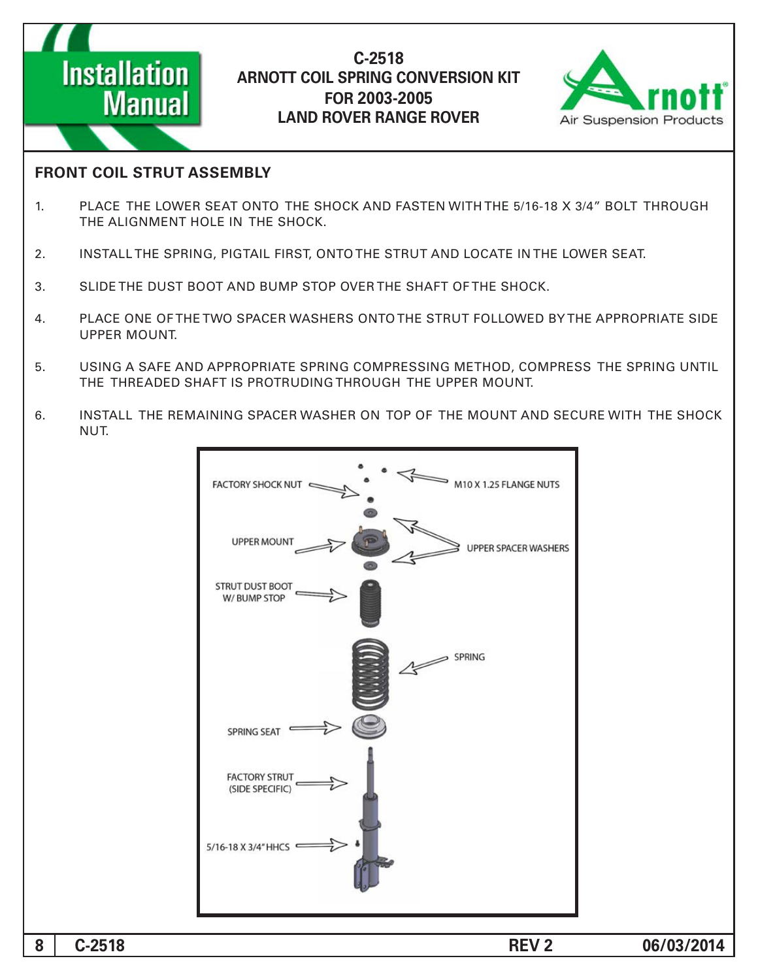



#### **FRONT COIL STRUT ASSEMBLY**

- 1. PLACE THE LOWER SEAT ONTO THE SHOCK AND FASTEN WITH THE 5/16-18 X 3/4" BOLT THROUGH THE ALIGNMENT HOLE IN THE SHOCK.
- 2. INSTALL THE SPRING, PIGTAIL FIRST, ONTO THE STRUT AND LOCATE IN THE LOWER SEAT.
- 3. SLIDE THE DUST BOOT AND BUMP STOP OVER THE SHAFT OF THE SHOCK.
- 4. PLACE ONE OF THE TWO SPACER WASHERS ONTO THE STRUT FOLLOWED BY THE APPROPRIATE SIDE UPPER MOUNT.
- 5. USING A SAFE AND APPROPRIATE SPRING COMPRESSING METHOD, COMPRESS THE SPRING UNTIL THE THREADED SHAFT IS PROTRUDING THROUGH THE UPPER MOUNT.
- 6. INSTALL THE REMAINING SPACER WASHER ON TOP OF THE MOUNT AND SECURE WITH THE SHOCK NUT.

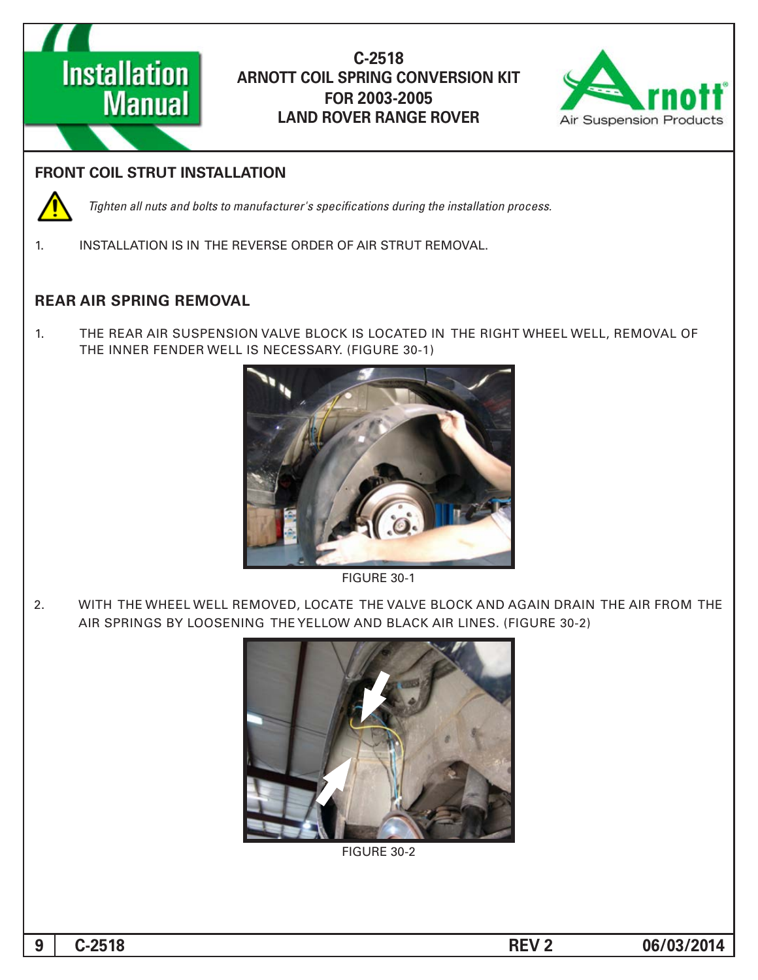



## **FRONT COIL STRUT INSTALLATION**



*Tighten all nuts and bolts to manufacturer's specifications during the installation process.* 

1. INSTALLATION IS IN THE REVERSE ORDER OF AIR STRUT REMOVAL.

## **REAR AIR SPRING REMOVAL**

1. THE REAR AIR SUSPENSION VALVE BLOCK IS LOCATED IN THE RIGHT WHEEL WELL, REMOVAL OF THE INNER FENDER WELL IS NECESSARY. (FIGURE 30-1)



**FIGURE 30-1** 

2. WITH THE WHEEL WELL REMOVED, LOCATE THE VALVE BLOCK AND AGAIN DRAIN THE AIR FROM THE AIR SPRINGS BY LOOSENING THE YELLOW AND BLACK AIR LINES. (FIGURE 30-2)



**FIGURE 30-2**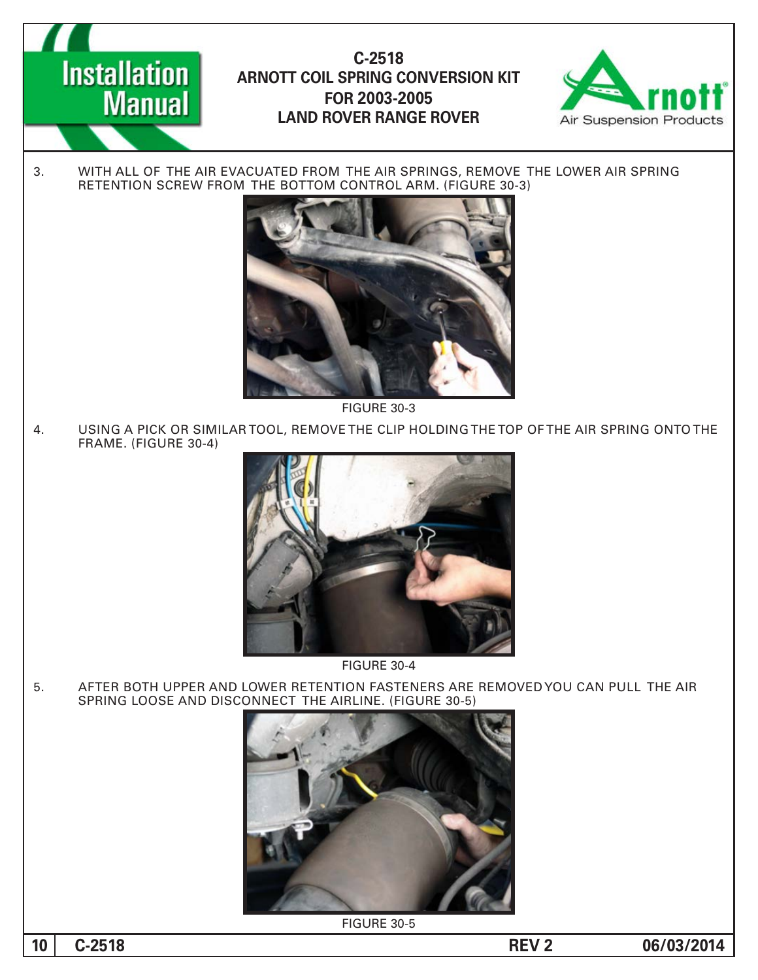



3. WITH ALL OF THE AIR EVACUATED FROM THE AIR SPRINGS, REMOVE THE LOWER AIR SPRING RETENTION SCREW FROM THE BOTTOM CONTROL ARM. (FIGURE 30-3)



**FIGURE 30-3** 

4. USING A PICK OR SIMILAR TOOL, REMOVE THE CLIP HOLDING THE TOP OF THE AIR SPRING ONTO THE FRAME. (FIGURE 30-4)



**FIGURE 30-4** 

5. AFTER BOTH UPPER AND LOWER RETENTION FASTENERS ARE REMOVED YOU CAN PULL THE AIR SPRING LOOSE AND DISCONNECT THE AIRLINE. (FIGURE 30-5)



**FIGURE 30-5** 

**10 c**-2518 **-2518 -2518 -2518 -2518 -2518 -2518 -2518 -2518 -2518 -2518 -2518 -2518 -2518 -2518**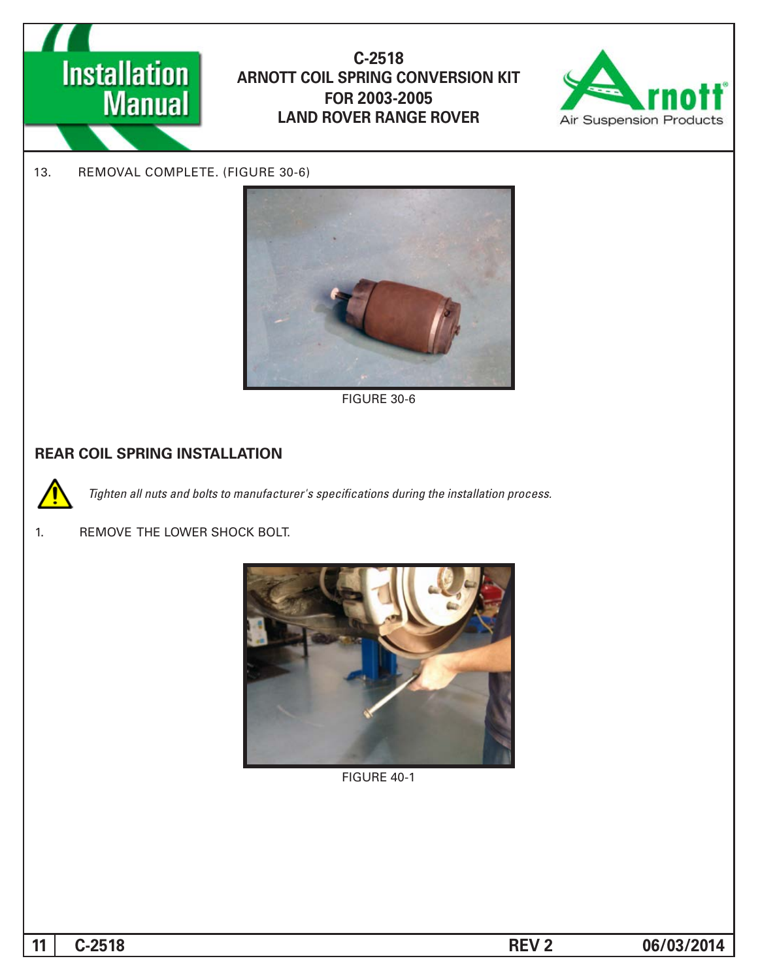



13. REMOVAL COMPLETE. (FIGURE 30-6)



**FIGURE 30-6** 

## **REAR COIL SPRING INSTALLATION**



Tighten all nuts and bolts to manufacturer's specifications during the installation process.

#### 1. REMOVE THE LOWER SHOCK BOLT.



**FIGURE 40-1**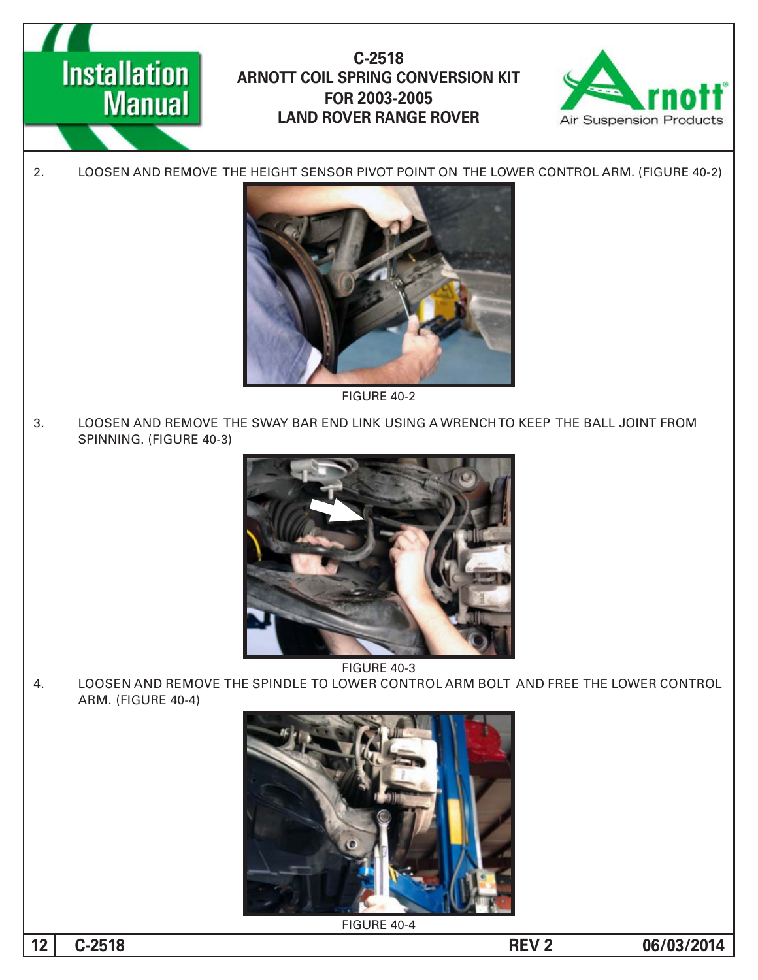



2. LOOSEN AND REMOVE THE HEIGHT SENSOR PIVOT POINT ON THE LOWER CONTROL ARM. (FIGURE 40-2)



FIGURE 40-2

3. LOOSEN AND REMOVE THE SWAY BAR END LINK USING A WRENCH TO KEEP THE BALL JOINT FROM SPINNING. (FIGURE 40-3)



**FIGURE 40-3** 

4. LOOSEN AND REMOVE THE SPINDLE TO LOWER CONTROL ARM BOLT AND FREE THE LOWER CONTROL ARM. (FIGURE 40-4)



FIGURE 40-4

**12** C-2518 **C-2518**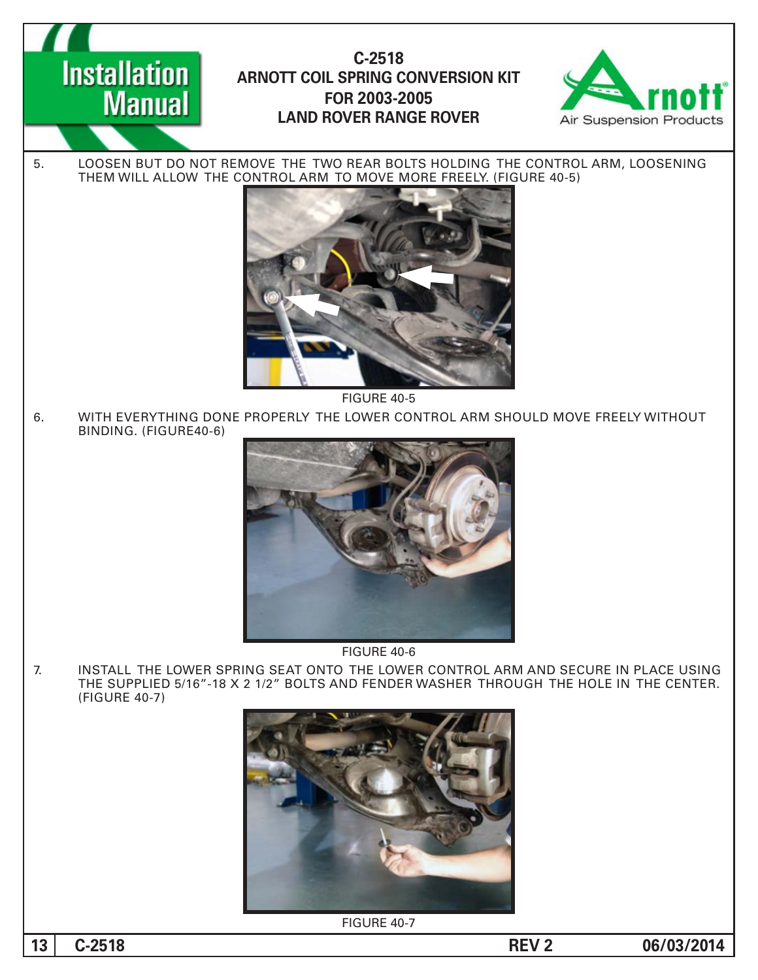**Installation Manual** 

# **-2518C ARNOTT COIL SPRING CONVERSION KIT 2003-2005 FOR LAND ROVER RANGE ROVER**



5. LOOSEN BUT DO NOT REMOVE THE TWO REAR BOLTS HOLDING THE CONTROL ARM, LOOSENING THEM WILL ALLOW THE CONTROL ARM TO MOVE MORE FREELY. (FIGURE 40-5)



FIGURE 40-5

6. WITH EVERYTHING DONE PROPERLY THE LOWER CONTROL ARM SHOULD MOVE FREELY WITHOUT BINDING. (FIGURE40-6)



FIGURE 40-6

7. INSTALL THE LOWER SPRING SEAT ONTO THE LOWER CONTROL ARM AND SECURE IN PLACE USING THE SUPPLIED 5/16"-18 X 2 1/2" BOLTS AND FENDER WASHER THROUGH THE HOLE IN THE CENTER. (FIGURE 40-7)



FIGURE 40-7

**13** C-2518 **C-2518**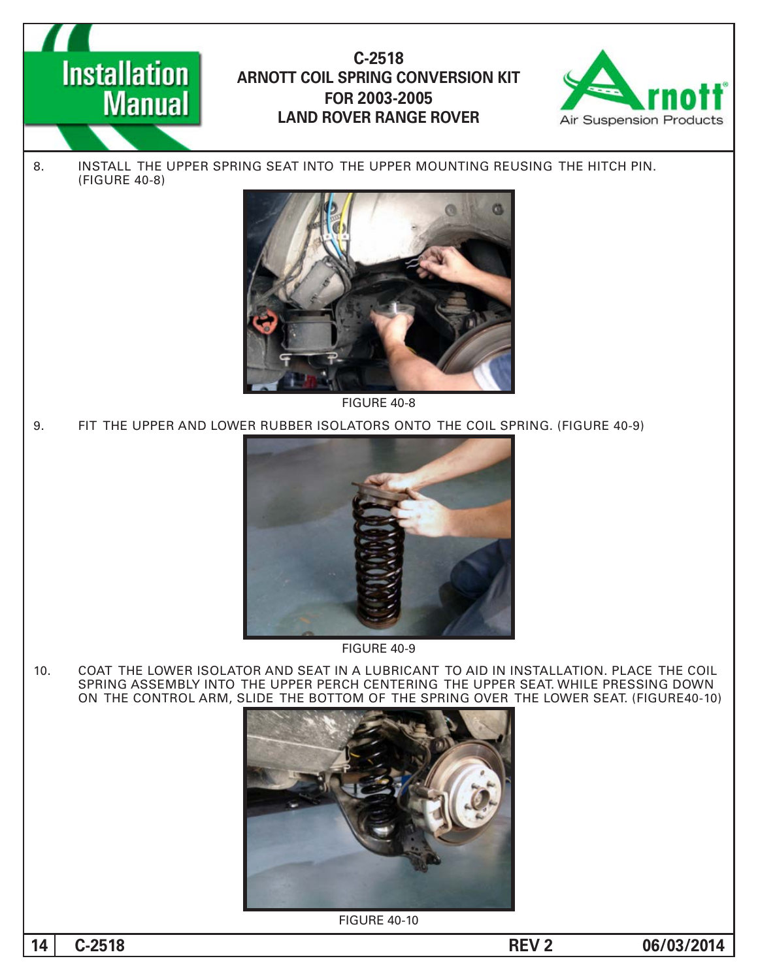



8. INSTALL THE UPPER SPRING SEAT INTO THE UPPER MOUNTING REUSING THE HITCH PIN. (FIGURE 40-8)



FIGURE 40-8

9. FIT THE UPPER AND LOWER RUBBER ISOLATORS ONTO THE COIL SPRING. (FIGURE 40-9)



**FIGURE 40-9** 

10. COAT THE LOWER ISOLATOR AND SEAT IN A LUBRICANT TO AID IN INSTALLATION. PLACE THE COIL SPRING ASSEMBLY INTO THE UPPER PERCH CENTERING THE UPPER SEAT. WHILE PRESSING DOWN ON THE CONTROL ARM, SLIDE THE BOTTOM OF THE SPRING OVER THE LOWER SEAT. (FIGURE40-10)



**FIGURE 40-10** 

14 C-2518 **C-2518**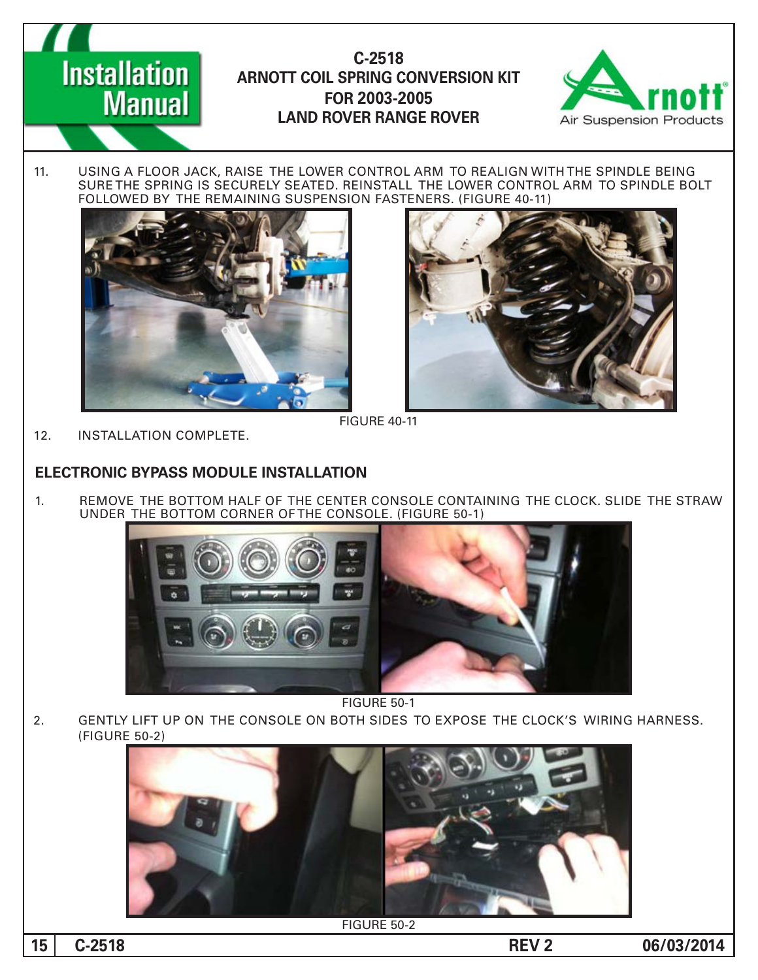

11. USING A FLOOR JACK, RAISE THE LOWER CONTROL ARM TO REALIGN WITH THE SPINDLE BEING SURE THE SPRING IS SECURELY SEATED. REINSTALL THE LOWER CONTROL ARM TO SPINDLE BOLT FOLLOWED BY THE REMAINING SUSPENSION FASTENERS. (FIGURE 40-11)





**FIGURE 40-11** 

12. INSTALLATION COMPLETE.

**Installation** 

**Manual** 

#### **ELECTRONIC BYPASS MODULE INSTALLATION**

1. BEMOVE THE BOTTOM HALF OF THE CENTER CONSOLE CONTAINING THE CLOCK. SLIDE THE STRAW UNDER THE BOTTOM CORNER OF THE CONSOLE. (FIGURE 50-1)



**FIGURE 50-1** 

2. GENTLY LIFT UP ON THE CONSOLE ON BOTH SIDES TO EXPOSE THE CLOCK'S WIRING HARNESS. (FIGURE 50-2)



**FIGURE 50-2**